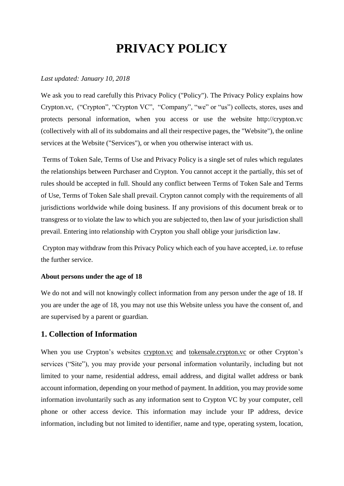# **PRIVACY POLICY**

#### *Last updated: January 10, 2018*

We ask you to read carefully this Privacy Policy ("Policy"). The Privacy Policy explains how Crypton.vc, ("Crypton", "Crypton VC", "Company", "we" or "us") collects, stores, uses and protects personal information, when you access or use the website http://crypton.vc (collectively with all of its subdomains and all their respective pages, the "Website"), the online services at the Website ("Services"), or when you otherwise interact with us.

Terms of Token Sale, Terms of Use and Privacy Policy is a single set of rules which regulates the relationships between Purchaser and Crypton. You cannot accept it the partially, this set of rules should be accepted in full. Should any conflict between Terms of Token Sale and Terms of Use, Terms of Token Sale shall prevail. Crypton cannot comply with the requirements of all jurisdictions worldwide while doing business. If any provisions of this document break or to transgress or to violate the law to which you are subjected to, then law of your jurisdiction shall prevail. Entering into relationship with Crypton you shall oblige your jurisdiction law.

Crypton may withdraw from this Privacy Policy which each of you have accepted, i.e. to refuse the further service.

#### **About persons under the age of 18**

We do not and will not knowingly collect information from any person under the age of 18. If you are under the age of 18, you may not use this Website unless you have the consent of, and are supervised by a parent or guardian.

#### **1. Collection of Information**

When you use Crypton's websites crypton.vc and tokensale.crypton.vc or other Crypton's services ("Site"), you may provide your personal information voluntarily, including but not limited to your name, residential address, email address, and digital wallet address or bank account information, depending on your method of payment. In addition, you may provide some information involuntarily such as any information sent to Crypton VC by your computer, cell phone or other access device. This information may include your IP address, device information, including but not limited to identifier, name and type, operating system, location,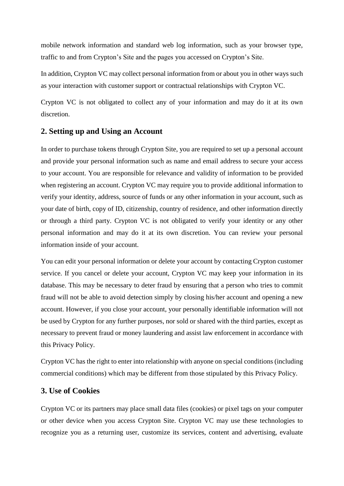mobile network information and standard web log information, such as your browser type, traffic to and from Crypton's Site and the pages you accessed on Crypton's Site.

In addition, Crypton VC may collect personal information from or about you in other ways such as your interaction with customer support or contractual relationships with Crypton VC.

Crypton VC is not obligated to collect any of your information and may do it at its own discretion.

# **2. Setting up and Using an Account**

In order to purchase tokens through Crypton Site, you are required to set up a personal account and provide your personal information such as name and email address to secure your access to your account. You are responsible for relevance and validity of information to be provided when registering an account. Crypton VC may require you to provide additional information to verify your identity, address, source of funds or any other information in your account, such as your date of birth, copy of ID, citizenship, country of residence, and other information directly or through a third party. Crypton VC is not obligated to verify your identity or any other personal information and may do it at its own discretion. You can review your personal information inside of your account.

You can edit your personal information or delete your account by contacting Crypton customer service. If you cancel or delete your account, Crypton VC may keep your information in its database. This may be necessary to deter fraud by ensuring that a person who tries to commit fraud will not be able to avoid detection simply by closing his/her account and opening a new account. However, if you close your account, your personally identifiable information will not be used by Crypton for any further purposes, nor sold or shared with the third parties, except as necessary to prevent fraud or money laundering and assist law enforcement in accordance with this Privacy Policy.

Crypton VC has the right to enter into relationship with anyone on special conditions (including commercial conditions) which may be different from those stipulated by this Privacy Policy.

#### **3. Use of Cookies**

Crypton VC or its partners may place small data files (cookies) or pixel tags on your computer or other device when you access Crypton Site. Crypton VC may use these technologies to recognize you as a returning user, customize its services, content and advertising, evaluate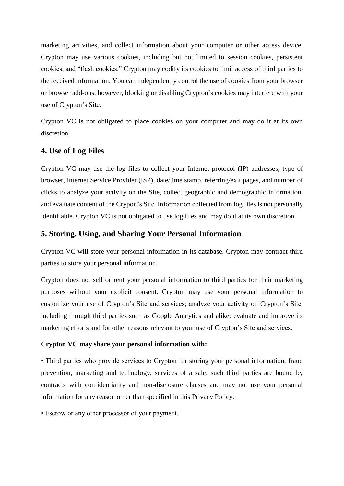marketing activities, and collect information about your computer or other access device. Crypton may use various cookies, including but not limited to session cookies, persistent cookies, and "flash cookies." Crypton may codify its cookies to limit access of third parties to the received information. You can independently control the use of cookies from your browser or browser add-ons; however, blocking or disabling Crypton's cookies may interfere with your use of Crypton's Site.

Crypton VC is not obligated to place cookies on your computer and may do it at its own discretion.

# **4. Use of Log Files**

Crypton VC may use the log files to collect your Internet protocol (IP) addresses, type of browser, Internet Service Provider (ISP), date/time stamp, referring/exit pages, and number of clicks to analyze your activity on the Site, collect geographic and demographic information, and evaluate content of the Crypon's Site. Information collected from log files is not personally identifiable. Crypton VC is not obligated to use log files and may do it at its own discretion.

# **5. Storing, Using, and Sharing Your Personal Information**

Crypton VC will store your personal information in its database. Crypton may contract third parties to store your personal information.

Crypton does not sell or rent your personal information to third parties for their marketing purposes without your explicit consent. Crypton may use your personal information to customize your use of Crypton's Site and services; analyze your activity on Crypton's Site, including through third parties such as Google Analytics and alike; evaluate and improve its marketing efforts and for other reasons relevant to your use of Crypton's Site and services.

#### **Crypton VC may share your personal information with:**

• Third parties who provide services to Crypton for storing your personal information, fraud prevention, marketing and technology, services of a sale; such third parties are bound by contracts with confidentiality and non-disclosure clauses and may not use your personal information for any reason other than specified in this Privacy Policy.

• Escrow or any other processor of your payment.